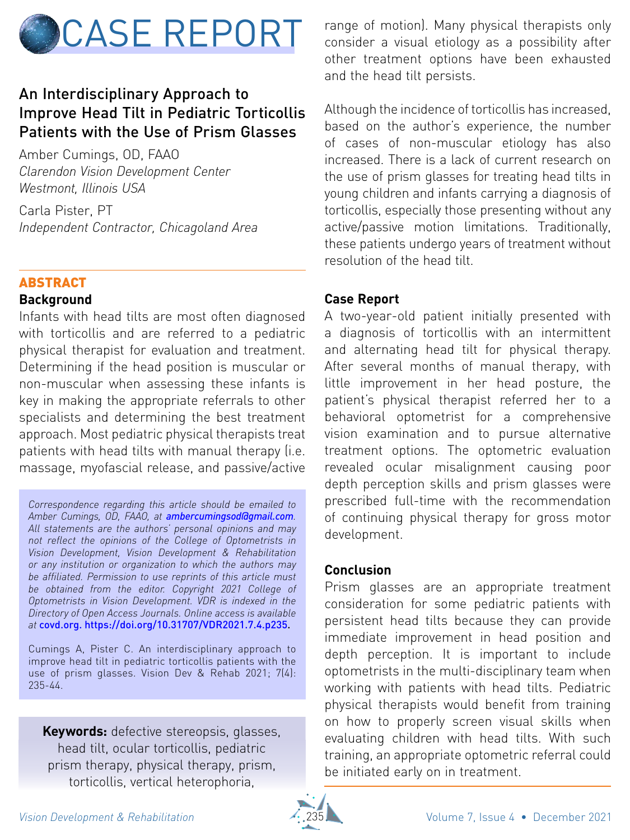

# An Interdisciplinary Approach to Improve Head Tilt in Pediatric Torticollis Patients with the Use of Prism Glasses

Amber Cumings, OD, FAAO *Clarendon Vision Development Center Westmont, Illinois USA*

Carla Pister, PT *Independent Contractor, Chicagoland Area*

## ABSTRACT

#### **Background**

Infants with head tilts are most often diagnosed with torticollis and are referred to a pediatric physical therapist for evaluation and treatment. Determining if the head position is muscular or non-muscular when assessing these infants is key in making the appropriate referrals to other specialists and determining the best treatment approach. Most pediatric physical therapists treat patients with head tilts with manual therapy (i.e. massage, myofascial release, and passive/active

*Correspondence regarding this article should be emailed to Amber Cumings, OD, FAAO, at [ambercumingsod@gmail.com](mailto:ambercumingsod%40gmail.com?subject=). All statements are the authors' personal opinions and may not reflect the opinions of the College of Optometrists in Vision Development, Vision Development & Rehabilitation or any institution or organization to which the authors may be affiliated. Permission to use reprints of this article must be obtained from the editor. Copyright 2021 College of Optometrists in Vision Development. VDR is indexed in the Directory of Open Access Journals. Online access is available at* <covd.org>. [https://doi.org/10.31707/VDR2021.7.4.p2](https://doi.org/10.31707/VDR2021.7.3.p215)35.

Cumings A, Pister C. An interdisciplinary approach to improve head tilt in pediatric torticollis patients with the use of prism glasses. Vision Dev & Rehab 2021; 7(4): 235-44.

**Keywords:** defective stereopsis, glasses, head tilt, ocular torticollis, pediatric prism therapy, physical therapy, prism, torticollis, vertical heterophoria,

range of motion). Many physical therapists only consider a visual etiology as a possibility after other treatment options have been exhausted and the head tilt persists.

Although the incidence of torticollis has increased, based on the author's experience, the number of cases of non-muscular etiology has also increased. There is a lack of current research on the use of prism glasses for treating head tilts in young children and infants carrying a diagnosis of torticollis, especially those presenting without any active/passive motion limitations. Traditionally, these patients undergo years of treatment without resolution of the head tilt.

#### **Case Report**

A two-year-old patient initially presented with a diagnosis of torticollis with an intermittent and alternating head tilt for physical therapy. After several months of manual therapy, with little improvement in her head posture, the patient's physical therapist referred her to a behavioral optometrist for a comprehensive vision examination and to pursue alternative treatment options. The optometric evaluation revealed ocular misalignment causing poor depth perception skills and prism glasses were prescribed full-time with the recommendation of continuing physical therapy for gross motor development.

#### **Conclusion**

Prism glasses are an appropriate treatment consideration for some pediatric patients with persistent head tilts because they can provide immediate improvement in head position and depth perception. It is important to include optometrists in the multi-disciplinary team when working with patients with head tilts. Pediatric physical therapists would benefit from training on how to properly screen visual skills when evaluating children with head tilts. With such training, an appropriate optometric referral could be initiated early on in treatment.

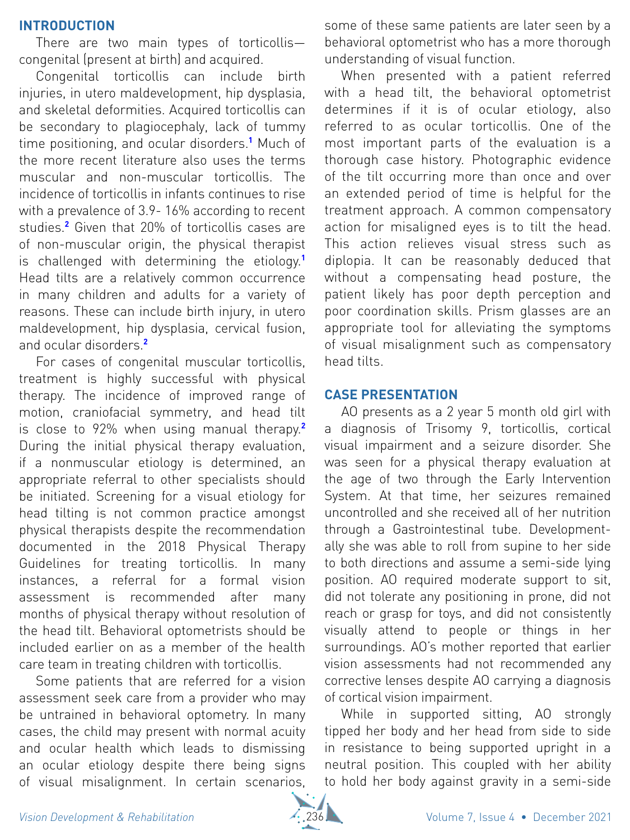#### **introduction**

There are two main types of torticollis congenital (present at birth) and acquired.

Congenital torticollis can include birth injuries, in utero maldevelopment, hip dysplasia, and skeletal deformities. Acquired torticollis can be secondary to plagiocephaly, lack of tummy time positioning, and ocular disorders.**<sup>1</sup>** Much of the more recent literature also uses the terms muscular and non-muscular torticollis. The incidence of torticollis in infants continues to rise with a prevalence of 3.9- 16% according to recent studies.**<sup>2</sup>** Given that 20% of torticollis cases are of non-muscular origin, the physical therapist is challenged with determining the etiology.**<sup>1</sup>** Head tilts are a relatively common occurrence in many children and adults for a variety of reasons. These can include birth injury, in utero maldevelopment, hip dysplasia, cervical fusion, and ocular disorders.**<sup>2</sup>**

For cases of congenital muscular torticollis, treatment is highly successful with physical therapy. The incidence of improved range of motion, craniofacial symmetry, and head tilt is close to 92% when using manual therapy.**<sup>2</sup>** During the initial physical therapy evaluation, if a nonmuscular etiology is determined, an appropriate referral to other specialists should be initiated. Screening for a visual etiology for head tilting is not common practice amongst physical therapists despite the recommendation documented in the 2018 Physical Therapy Guidelines for treating torticollis. In many instances, a referral for a formal vision assessment is recommended after many months of physical therapy without resolution of the head tilt. Behavioral optometrists should be included earlier on as a member of the health care team in treating children with torticollis.

Some patients that are referred for a vision assessment seek care from a provider who may be untrained in behavioral optometry. In many cases, the child may present with normal acuity and ocular health which leads to dismissing an ocular etiology despite there being signs of visual misalignment. In certain scenarios, some of these same patients are later seen by a behavioral optometrist who has a more thorough understanding of visual function.

When presented with a patient referred with a head tilt, the behavioral optometrist determines if it is of ocular etiology, also referred to as ocular torticollis. One of the most important parts of the evaluation is a thorough case history. Photographic evidence of the tilt occurring more than once and over an extended period of time is helpful for the treatment approach. A common compensatory action for misaligned eyes is to tilt the head. This action relieves visual stress such as diplopia. It can be reasonably deduced that without a compensating head posture, the patient likely has poor depth perception and poor coordination skills. Prism glasses are an appropriate tool for alleviating the symptoms of visual misalignment such as compensatory head tilts.

#### **Case Presentation**

AO presents as a 2 year 5 month old girl with a diagnosis of Trisomy 9, torticollis, cortical visual impairment and a seizure disorder. She was seen for a physical therapy evaluation at the age of two through the Early Intervention System. At that time, her seizures remained uncontrolled and she received all of her nutrition through a Gastrointestinal tube. Developmentally she was able to roll from supine to her side to both directions and assume a semi-side lying position. AO required moderate support to sit, did not tolerate any positioning in prone, did not reach or grasp for toys, and did not consistently visually attend to people or things in her surroundings. AO's mother reported that earlier vision assessments had not recommended any corrective lenses despite AO carrying a diagnosis of cortical vision impairment.

While in supported sitting, AO strongly tipped her body and her head from side to side in resistance to being supported upright in a neutral position. This coupled with her ability to hold her body against gravity in a semi-side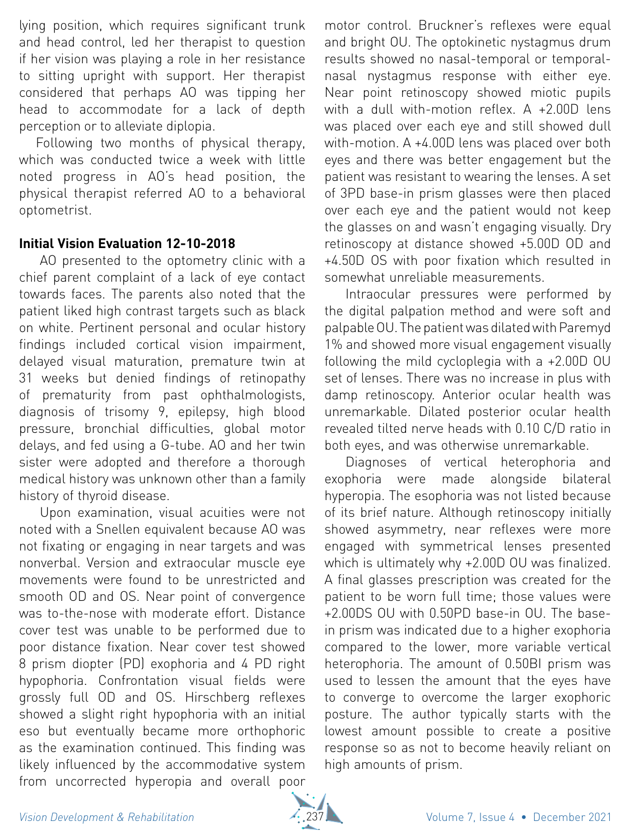lying position, which requires significant trunk and head control, led her therapist to question if her vision was playing a role in her resistance to sitting upright with support. Her therapist considered that perhaps AO was tipping her head to accommodate for a lack of depth perception or to alleviate diplopia.

Following two months of physical therapy, which was conducted twice a week with little noted progress in AO's head position, the physical therapist referred AO to a behavioral optometrist.

# **Initial Vision Evaluation 12-10-2018**

AO presented to the optometry clinic with a chief parent complaint of a lack of eye contact towards faces. The parents also noted that the patient liked high contrast targets such as black on white. Pertinent personal and ocular history findings included cortical vision impairment, delayed visual maturation, premature twin at 31 weeks but denied findings of retinopathy of prematurity from past ophthalmologists, diagnosis of trisomy 9, epilepsy, high blood pressure, bronchial difficulties, global motor delays, and fed using a G-tube. AO and her twin sister were adopted and therefore a thorough medical history was unknown other than a family history of thyroid disease.

Upon examination, visual acuities were not noted with a Snellen equivalent because AO was not fixating or engaging in near targets and was nonverbal. Version and extraocular muscle eye movements were found to be unrestricted and smooth OD and OS. Near point of convergence was to-the-nose with moderate effort. Distance cover test was unable to be performed due to poor distance fixation. Near cover test showed 8 prism diopter (PD) exophoria and 4 PD right hypophoria. Confrontation visual fields were grossly full OD and OS. Hirschberg reflexes showed a slight right hypophoria with an initial eso but eventually became more orthophoric as the examination continued. This finding was likely influenced by the accommodative system from uncorrected hyperopia and overall poor

motor control. Bruckner's reflexes were equal and bright OU. The optokinetic nystagmus drum results showed no nasal-temporal or temporalnasal nystagmus response with either eye. Near point retinoscopy showed miotic pupils with a dull with-motion reflex. A +2.00D lens was placed over each eye and still showed dull with-motion. A +4.00D lens was placed over both eyes and there was better engagement but the patient was resistant to wearing the lenses. A set of 3PD base-in prism glasses were then placed over each eye and the patient would not keep the glasses on and wasn't engaging visually. Dry retinoscopy at distance showed +5.00D OD and +4.50D OS with poor fixation which resulted in somewhat unreliable measurements.

Intraocular pressures were performed by the digital palpation method and were soft and palpable OU. The patient was dilated with Paremyd 1% and showed more visual engagement visually following the mild cycloplegia with a +2.00D OU set of lenses. There was no increase in plus with damp retinoscopy. Anterior ocular health was unremarkable. Dilated posterior ocular health revealed tilted nerve heads with 0.10 C/D ratio in both eyes, and was otherwise unremarkable.

Diagnoses of vertical heterophoria and exophoria were made alongside bilateral hyperopia. The esophoria was not listed because of its brief nature. Although retinoscopy initially showed asymmetry, near reflexes were more engaged with symmetrical lenses presented which is ultimately why +2.00D OU was finalized. A final glasses prescription was created for the patient to be worn full time; those values were +2.00DS OU with 0.50PD base-in OU. The basein prism was indicated due to a higher exophoria compared to the lower, more variable vertical heterophoria. The amount of 0.50BI prism was used to lessen the amount that the eyes have to converge to overcome the larger exophoric posture. The author typically starts with the lowest amount possible to create a positive response so as not to become heavily reliant on high amounts of prism.

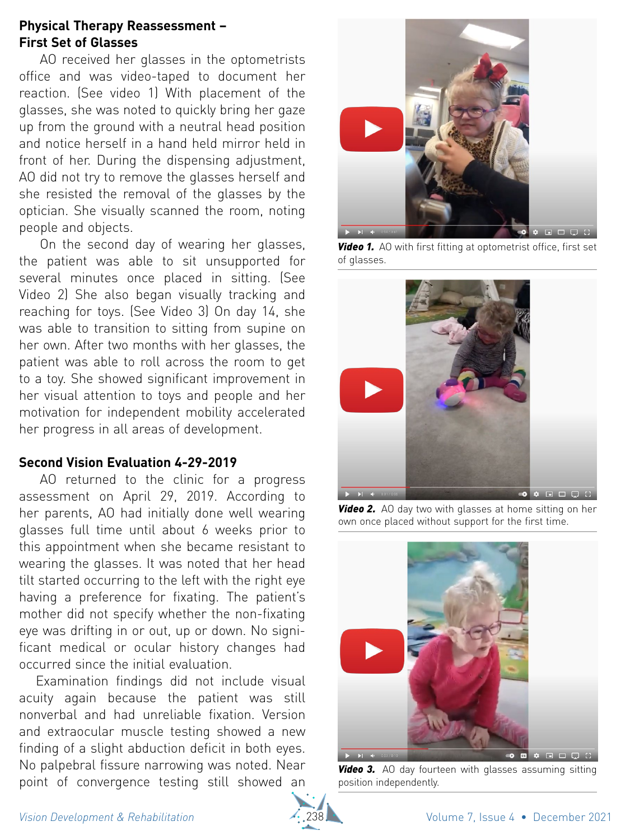#### **Physical Therapy Reassessment – First Set of Glasses**

AO received her glasses in the optometrists office and was video-taped to document her reaction. (See video 1) With placement of the glasses, she was noted to quickly bring her gaze up from the ground with a neutral head position and notice herself in a hand held mirror held in front of her. During the dispensing adjustment, AO did not try to remove the glasses herself and she resisted the removal of the glasses by the optician. She visually scanned the room, noting people and objects.

On the second day of wearing her glasses, the patient was able to sit unsupported for several minutes once placed in sitting. (See Video 2) She also began visually tracking and reaching for toys. (See Video 3) On day 14, she was able to transition to sitting from supine on her own. After two months with her glasses, the patient was able to roll across the room to get to a toy. She showed significant improvement in her visual attention to toys and people and her motivation for independent mobility accelerated her progress in all areas of development.

## **Second Vision Evaluation 4-29-2019**

AO returned to the clinic for a progress assessment on April 29, 2019. According to her parents, AO had initially done well wearing glasses full time until about 6 weeks prior to this appointment when she became resistant to wearing the glasses. It was noted that her head tilt started occurring to the left with the right eye having a preference for fixating. The patient's mother did not specify whether the non-fixating eye was drifting in or out, up or down. No significant medical or ocular history changes had occurred since the initial evaluation.

Examination findings did not include visual acuity again because the patient was still nonverbal and had unreliable fixation. Version and extraocular muscle testing showed a new finding of a slight abduction deficit in both eyes. No palpebral fissure narrowing was noted. Near point of convergence testing still showed an



*Video 1.* AO with first fitting at optometrist office, first set of glasses.



**Video 2.** AO day two with glasses at home sitting on her own once placed without support for the first time.



**Video 3.** AO day fourteen with glasses assuming sitting position independently.

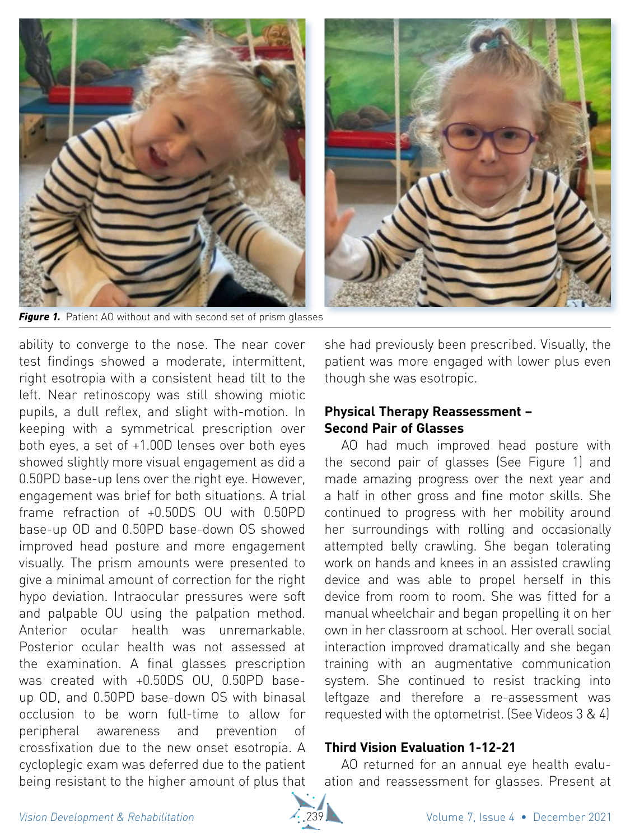

*Figure 1.* Patient AO without and with second set of prism glasses

ability to converge to the nose. The near cover test findings showed a moderate, intermittent, right esotropia with a consistent head tilt to the left. Near retinoscopy was still showing miotic pupils, a dull reflex, and slight with-motion. In keeping with a symmetrical prescription over both eyes, a set of +1.00D lenses over both eyes showed slightly more visual engagement as did a 0.50PD base-up lens over the right eye. However, engagement was brief for both situations. A trial frame refraction of +0.50DS OU with 0.50PD base-up OD and 0.50PD base-down OS showed improved head posture and more engagement visually. The prism amounts were presented to give a minimal amount of correction for the right hypo deviation. Intraocular pressures were soft and palpable OU using the palpation method. Anterior ocular health was unremarkable. Posterior ocular health was not assessed at the examination. A final glasses prescription was created with +0.50DS OU, 0.50PD baseup OD, and 0.50PD base-down OS with binasal occlusion to be worn full-time to allow for peripheral awareness and prevention of crossfixation due to the new onset esotropia. A cycloplegic exam was deferred due to the patient being resistant to the higher amount of plus that

she had previously been prescribed. Visually, the patient was more engaged with lower plus even though she was esotropic.

## **Physical Therapy Reassessment – Second Pair of Glasses**

AO had much improved head posture with the second pair of glasses (See Figure 1) and made amazing progress over the next year and a half in other gross and fine motor skills. She continued to progress with her mobility around her surroundings with rolling and occasionally attempted belly crawling. She began tolerating work on hands and knees in an assisted crawling device and was able to propel herself in this device from room to room. She was fitted for a manual wheelchair and began propelling it on her own in her classroom at school. Her overall social interaction improved dramatically and she began training with an augmentative communication system. She continued to resist tracking into leftgaze and therefore a re-assessment was requested with the optometrist. (See Videos 3 & 4)

## **Third Vision Evaluation 1-12-21**

AO returned for an annual eye health evaluation and reassessment for glasses. Present at

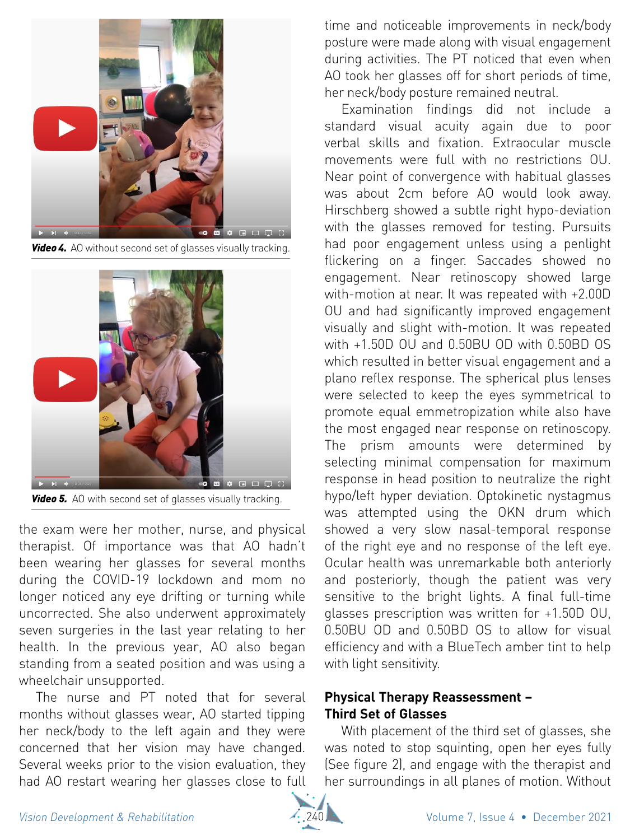

*Video 4.* AO without second set of glasses visually tracking.



**Video 5.** AO with second set of glasses visually tracking.

the exam were her mother, nurse, and physical therapist. Of importance was that AO hadn't been wearing her glasses for several months during the COVID-19 lockdown and mom no longer noticed any eye drifting or turning while uncorrected. She also underwent approximately seven surgeries in the last year relating to her health. In the previous year, AO also began standing from a seated position and was using a wheelchair unsupported.

The nurse and PT noted that for several months without glasses wear, AO started tipping her neck/body to the left again and they were concerned that her vision may have changed. Several weeks prior to the vision evaluation, they had AO restart wearing her glasses close to full

time and noticeable improvements in neck/body posture were made along with visual engagement during activities. The PT noticed that even when AO took her glasses off for short periods of time, her neck/body posture remained neutral.

Examination findings did not include a standard visual acuity again due to poor verbal skills and fixation. Extraocular muscle movements were full with no restrictions OU. Near point of convergence with habitual glasses was about 2cm before AO would look away. Hirschberg showed a subtle right hypo-deviation with the glasses removed for testing. Pursuits had poor engagement unless using a penlight flickering on a finger. Saccades showed no engagement. Near retinoscopy showed large with-motion at near. It was repeated with +2.00D OU and had significantly improved engagement visually and slight with-motion. It was repeated with +1.50D OU and 0.50BU OD with 0.50BD OS which resulted in better visual engagement and a plano reflex response. The spherical plus lenses were selected to keep the eyes symmetrical to promote equal emmetropization while also have the most engaged near response on retinoscopy. The prism amounts were determined by selecting minimal compensation for maximum response in head position to neutralize the right hypo/left hyper deviation. Optokinetic nystagmus was attempted using the OKN drum which showed a very slow nasal-temporal response of the right eye and no response of the left eye. Ocular health was unremarkable both anteriorly and posteriorly, though the patient was very sensitive to the bright lights. A final full-time glasses prescription was written for +1.50D OU, 0.50BU OD and 0.50BD OS to allow for visual efficiency and with a BlueTech amber tint to help with light sensitivity.

# **Physical Therapy Reassessment – Third Set of Glasses**

With placement of the third set of glasses, she was noted to stop squinting, open her eyes fully (See figure 2), and engage with the therapist and her surroundings in all planes of motion. Without

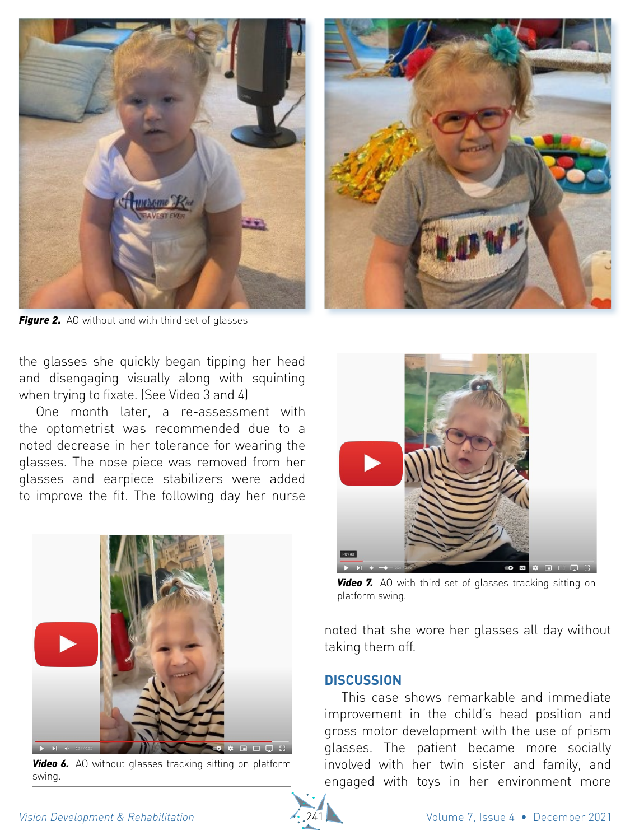

**Figure 2.** AO without and with third set of glasses

the glasses she quickly began tipping her head and disengaging visually along with squinting when trying to fixate. (See Video 3 and 4)

One month later, a re-assessment with the optometrist was recommended due to a noted decrease in her tolerance for wearing the glasses. The nose piece was removed from her glasses and earpiece stabilizers were added to improve the fit. The following day her nurse



**Video 6.** AO without glasses tracking sitting on platform swing.



**Video 7.** AO with third set of glasses tracking sitting on platform swing.

noted that she wore her glasses all day without taking them off.

#### **Discussion**

This case shows remarkable and immediate improvement in the child's head position and gross motor development with the use of prism glasses. The patient became more socially involved with her twin sister and family, and engaged with toys in her environment more

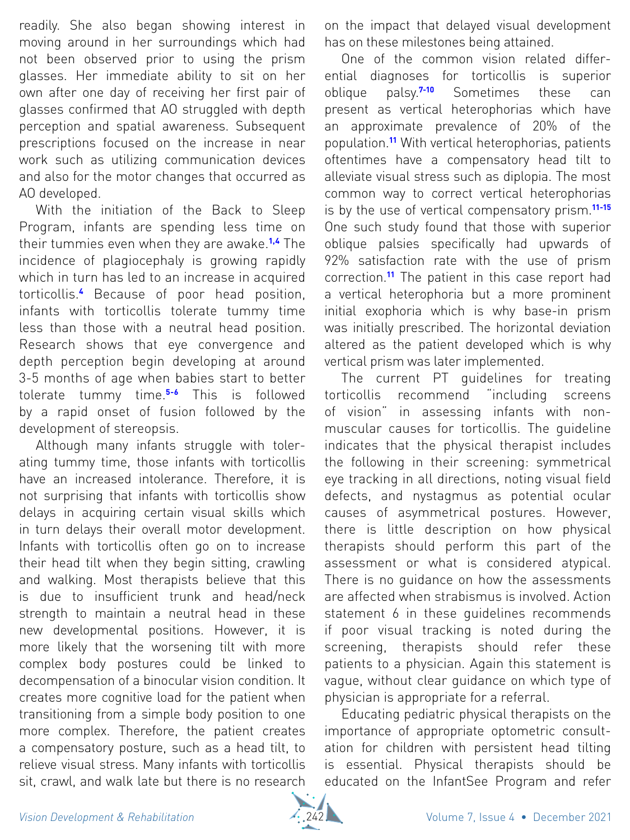readily. She also began showing interest in moving around in her surroundings which had not been observed prior to using the prism glasses. Her immediate ability to sit on her own after one day of receiving her first pair of glasses confirmed that AO struggled with depth perception and spatial awareness. Subsequent prescriptions focused on the increase in near work such as utilizing communication devices and also for the motor changes that occurred as AO developed.

With the initiation of the Back to Sleep Program, infants are spending less time on their tummies even when they are awake.**1,4** The incidence of plagiocephaly is growing rapidly which in turn has led to an increase in acquired torticollis.**<sup>4</sup>** Because of poor head position, infants with torticollis tolerate tummy time less than those with a neutral head position. Research shows that eye convergence and depth perception begin developing at around 3-5 months of age when babies start to better tolerate tummy time.**5-6** This is followed by a rapid onset of fusion followed by the development of stereopsis.

Although many infants struggle with tolerating tummy time, those infants with torticollis have an increased intolerance. Therefore, it is not surprising that infants with torticollis show delays in acquiring certain visual skills which in turn delays their overall motor development. Infants with torticollis often go on to increase their head tilt when they begin sitting, crawling and walking. Most therapists believe that this is due to insufficient trunk and head/neck strength to maintain a neutral head in these new developmental positions. However, it is more likely that the worsening tilt with more complex body postures could be linked to decompensation of a binocular vision condition. It creates more cognitive load for the patient when transitioning from a simple body position to one more complex. Therefore, the patient creates a compensatory posture, such as a head tilt, to relieve visual stress. Many infants with torticollis sit, crawl, and walk late but there is no research

on the impact that delayed visual development has on these milestones being attained.

One of the common vision related differential diagnoses for torticollis is superior oblique palsy.**7-10** Sometimes these can present as vertical heterophorias which have an approximate prevalence of 20% of the population.**<sup>11</sup>** With vertical heterophorias, patients oftentimes have a compensatory head tilt to alleviate visual stress such as diplopia. The most common way to correct vertical heterophorias is by the use of vertical compensatory prism.**11-15** One such study found that those with superior oblique palsies specifically had upwards of 92% satisfaction rate with the use of prism correction.**<sup>11</sup>** The patient in this case report had a vertical heterophoria but a more prominent initial exophoria which is why base-in prism was initially prescribed. The horizontal deviation altered as the patient developed which is why vertical prism was later implemented.

The current PT guidelines for treating torticollis recommend "including screens of vision" in assessing infants with nonmuscular causes for torticollis. The guideline indicates that the physical therapist includes the following in their screening: symmetrical eye tracking in all directions, noting visual field defects, and nystagmus as potential ocular causes of asymmetrical postures. However, there is little description on how physical therapists should perform this part of the assessment or what is considered atypical. There is no guidance on how the assessments are affected when strabismus is involved. Action statement 6 in these quidelines recommends if poor visual tracking is noted during the screening, therapists should refer these patients to a physician. Again this statement is vague, without clear guidance on which type of physician is appropriate for a referral.

Educating pediatric physical therapists on the importance of appropriate optometric consultation for children with persistent head tilting is essential. Physical therapists should be educated on the InfantSee Program and refer

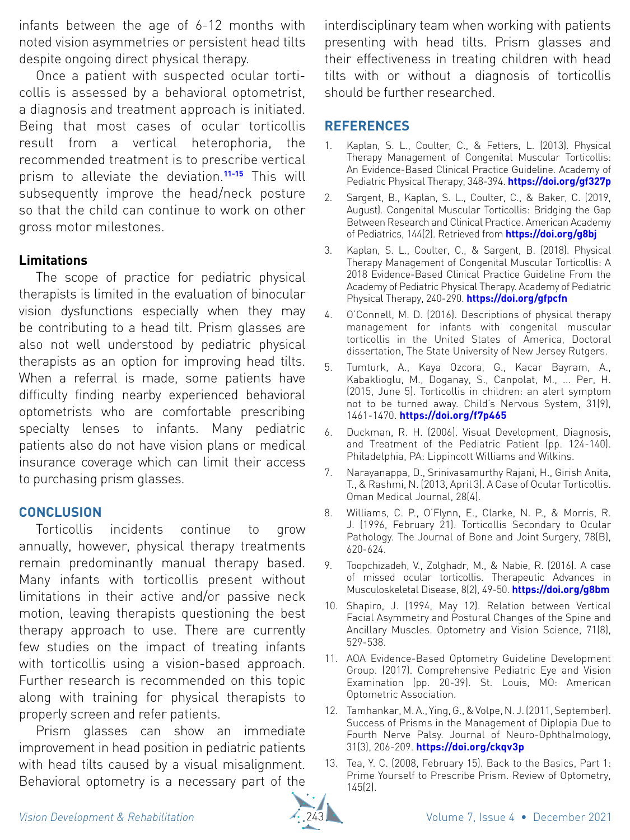infants between the age of 6-12 months with noted vision asymmetries or persistent head tilts despite ongoing direct physical therapy.

Once a patient with suspected ocular torticollis is assessed by a behavioral optometrist, a diagnosis and treatment approach is initiated. Being that most cases of ocular torticollis result from a vertical heterophoria, the recommended treatment is to prescribe vertical prism to alleviate the deviation.**11-15** This will subsequently improve the head/neck posture so that the child can continue to work on other gross motor milestones.

# **Limitations**

The scope of practice for pediatric physical therapists is limited in the evaluation of binocular vision dysfunctions especially when they may be contributing to a head tilt. Prism glasses are also not well understood by pediatric physical therapists as an option for improving head tilts. When a referral is made, some patients have difficulty finding nearby experienced behavioral optometrists who are comfortable prescribing specialty lenses to infants. Many pediatric patients also do not have vision plans or medical insurance coverage which can limit their access to purchasing prism glasses.

## **Conclusion**

Torticollis incidents continue to grow annually, however, physical therapy treatments remain predominantly manual therapy based. Many infants with torticollis present without limitations in their active and/or passive neck motion, leaving therapists questioning the best therapy approach to use. There are currently few studies on the impact of treating infants with torticollis using a vision-based approach. Further research is recommended on this topic along with training for physical therapists to properly screen and refer patients.

Prism glasses can show an immediate improvement in head position in pediatric patients with head tilts caused by a visual misalignment. Behavioral optometry is a necessary part of the

interdisciplinary team when working with patients presenting with head tilts. Prism glasses and their effectiveness in treating children with head tilts with or without a diagnosis of torticollis should be further researched.

# **References**

- 1. Kaplan, S. L., Coulter, C., & Fetters, L. (2013). Physical Therapy Management of Congenital Muscular Torticollis: An Evidence-Based Clinical Practice Guideline. Academy of Pediatric Physical Therapy, 348-394. **https://doi.org/gf327p**
- 2. Sargent, B., Kaplan, S. L., Coulter, C., & Baker, C. (2019, August). Congenital Muscular Torticollis: Bridging the Gap Between Research and Clinical Practice. American Academy of Pediatrics, 144(2). Retrieved from **https://doi.org/g8bj**
- 3. Kaplan, S. L., Coulter, C., & Sargent, B. (2018). Physical Therapy Management of Congenital Muscular Torticollis: A 2018 Evidence-Based Clinical Practice Guideline From the Academy of Pediatric Physical Therapy. Academy of Pediatric Physical Therapy, 240-290. **https://doi.org/gfpcfn**
- 4. O'Connell, M. D. (2016). Descriptions of physical therapy management for infants with congenital muscular torticollis in the United States of America, Doctoral dissertation, The State University of New Jersey Rutgers.
- 5. Tumturk, A., Kaya Ozcora, G., Kacar Bayram, A., Kabaklioglu, M., Doganay, S., Canpolat, M., ... Per, H. (2015, June 5). Torticollis in children: an alert symptom not to be turned away. Child's Nervous System, 31(9), 1461-1470. **https://doi.org/f7p465**
- 6. Duckman, R. H. (2006). Visual Development, Diagnosis, and Treatment of the Pediatric Patient (pp. 124-140). Philadelphia, PA: Lippincott Williams and Wilkins.
- 7. Narayanappa, D., Srinivasamurthy Rajani, H., Girish Anita, T., & Rashmi, N. (2013, April 3). A Case of Ocular Torticollis. Oman Medical Journal, 28(4).
- 8. Williams, C. P., O'Flynn, E., Clarke, N. P., & Morris, R. J. (1996, February 21). Torticollis Secondary to Ocular Pathology. The Journal of Bone and Joint Surgery, 78(B), 620-624.
- 9. Toopchizadeh, V., Zolghadr, M., & Nabie, R. (2016). A case of missed ocular torticollis. Therapeutic Advances in Musculoskeletal Disease, 8(2), 49-50. **https://doi.org/g8bm**
- 10. Shapiro, J. (1994, May 12). Relation between Vertical Facial Asymmetry and Postural Changes of the Spine and Ancillary Muscles. Optometry and Vision Science, 71(8), 529-538.
- 11. AOA Evidence-Based Optometry Guideline Development Group. (2017). Comprehensive Pediatric Eye and Vision Examination (pp. 20-39). St. Louis, MO: American Optometric Association.
- 12. Tamhankar, M. A., Ying, G., & Volpe, N. J. (2011, September). Success of Prisms in the Management of Diplopia Due to Fourth Nerve Palsy. Journal of Neuro-Ophthalmology, 31(3), 206-209. **https://doi.org/ckqv3p**
- 13. Tea, Y. C. (2008, February 15). Back to the Basics, Part 1: Prime Yourself to Prescribe Prism. Review of Optometry, 145(2).